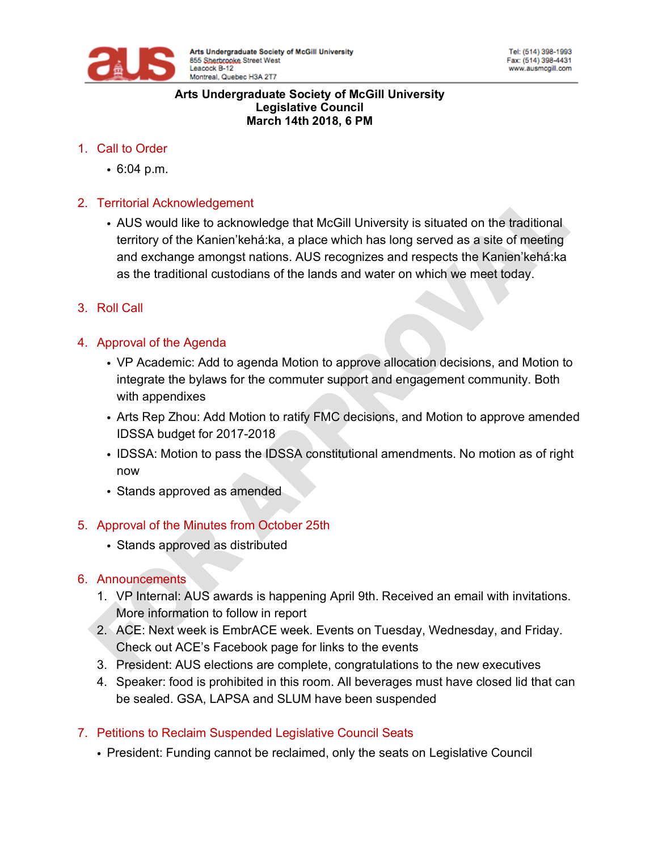

#### **Arts Undergraduate Society of McGill University Legislative Council March 14th 2018, 6 PM**

## 1. Call to Order

• 6:04 p.m.

## 2. Territorial Acknowledgement

- AUS would like to acknowledge that McGill University is situated on the traditional territory of the Kanien'kehá:ka, a place which has long served as a site of meeting and exchange amongst nations. AUS recognizes and respects the Kanien'kehá:ka as the traditional custodians of the lands and water on which we meet today.
- 3. Roll Call

## 4. Approval of the Agenda

- VP Academic: Add to agenda Motion to approve allocation decisions, and Motion to integrate the bylaws for the commuter support and engagement community. Both with appendixes
- Arts Rep Zhou: Add Motion to ratify FMC decisions, and Motion to approve amended IDSSA budget for 2017-2018
- IDSSA: Motion to pass the IDSSA constitutional amendments. No motion as of right now
- Stands approved as amended

### 5. Approval of the Minutes from October 25th

• Stands approved as distributed

### 6. Announcements

- 1. VP Internal: AUS awards is happening April 9th. Received an email with invitations. More information to follow in report
- 2. ACE: Next week is EmbrACE week. Events on Tuesday, Wednesday, and Friday. Check out ACE's Facebook page for links to the events
- 3. President: AUS elections are complete, congratulations to the new executives
- 4. Speaker: food is prohibited in this room. All beverages must have closed lid that can be sealed. GSA, LAPSA and SLUM have been suspended
- 7. Petitions to Reclaim Suspended Legislative Council Seats
	- President: Funding cannot be reclaimed, only the seats on Legislative Council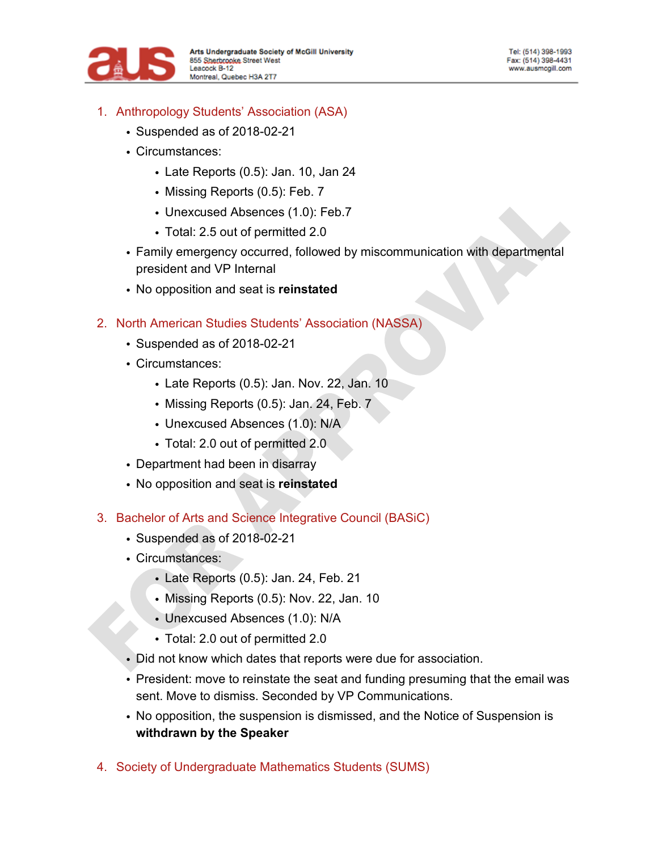

- 1. Anthropology Students' Association (ASA)
	- Suspended as of 2018-02-21
	- Circumstances:
		- Late Reports (0.5): Jan. 10, Jan 24
		- Missing Reports (0.5): Feb. 7
		- Unexcused Absences (1.0): Feb.7
		- Total: 2.5 out of permitted 2.0
	- Family emergency occurred, followed by miscommunication with departmental president and VP Internal
	- No opposition and seat is **reinstated**
- 2. North American Studies Students' Association (NASSA)
	- Suspended as of 2018-02-21
	- Circumstances:
		- Late Reports (0.5): Jan. Nov. 22, Jan. 10
		- Missing Reports (0.5): Jan. 24, Feb. 7
		- Unexcused Absences (1.0): N/A
		- Total: 2.0 out of permitted 2.0
	- Department had been in disarray
	- No opposition and seat is **reinstated**
- 3. Bachelor of Arts and Science Integrative Council (BASiC)
	- Suspended as of 2018-02-21
	- Circumstances:
		- Late Reports (0.5): Jan. 24, Feb. 21
		- Missing Reports (0.5): Nov. 22, Jan. 10
		- Unexcused Absences (1.0): N/A
		- Total: 2.0 out of permitted 2.0
	- Did not know which dates that reports were due for association.
	- President: move to reinstate the seat and funding presuming that the email was sent. Move to dismiss. Seconded by VP Communications.
	- No opposition, the suspension is dismissed, and the Notice of Suspension is **withdrawn by the Speaker**
- 4. Society of Undergraduate Mathematics Students (SUMS)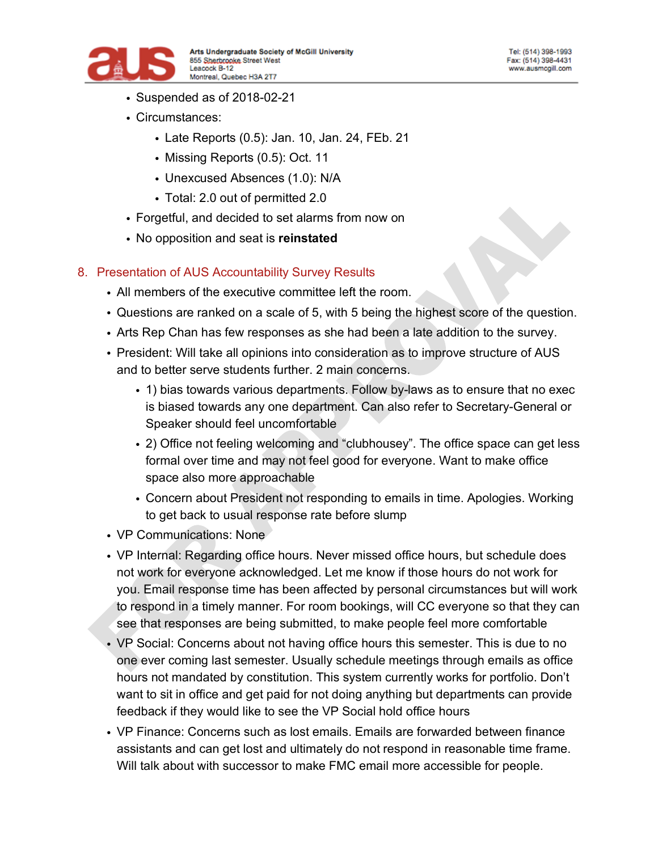

- Suspended as of 2018-02-21
- Circumstances:
	- Late Reports (0.5): Jan. 10, Jan. 24, FEb. 21
	- Missing Reports (0.5): Oct. 11
	- Unexcused Absences (1.0): N/A
	- Total: 2.0 out of permitted 2.0
- Forgetful, and decided to set alarms from now on
- No opposition and seat is **reinstated**

#### 8. Presentation of AUS Accountability Survey Results

- All members of the executive committee left the room.
- Questions are ranked on a scale of 5, with 5 being the highest score of the question.
- Arts Rep Chan has few responses as she had been a late addition to the survey.
- President: Will take all opinions into consideration as to improve structure of AUS and to better serve students further. 2 main concerns.
	- 1) bias towards various departments. Follow by-laws as to ensure that no exec is biased towards any one department. Can also refer to Secretary-General or Speaker should feel uncomfortable
	- 2) Office not feeling welcoming and "clubhousey". The office space can get less formal over time and may not feel good for everyone. Want to make office space also more approachable
	- Concern about President not responding to emails in time. Apologies. Working to get back to usual response rate before slump
- VP Communications: None
- VP Internal: Regarding office hours. Never missed office hours, but schedule does not work for everyone acknowledged. Let me know if those hours do not work for you. Email response time has been affected by personal circumstances but will work to respond in a timely manner. For room bookings, will CC everyone so that they can see that responses are being submitted, to make people feel more comfortable
- VP Social: Concerns about not having office hours this semester. This is due to no one ever coming last semester. Usually schedule meetings through emails as office hours not mandated by constitution. This system currently works for portfolio. Don't want to sit in office and get paid for not doing anything but departments can provide feedback if they would like to see the VP Social hold office hours
- VP Finance: Concerns such as lost emails. Emails are forwarded between finance assistants and can get lost and ultimately do not respond in reasonable time frame. Will talk about with successor to make FMC email more accessible for people.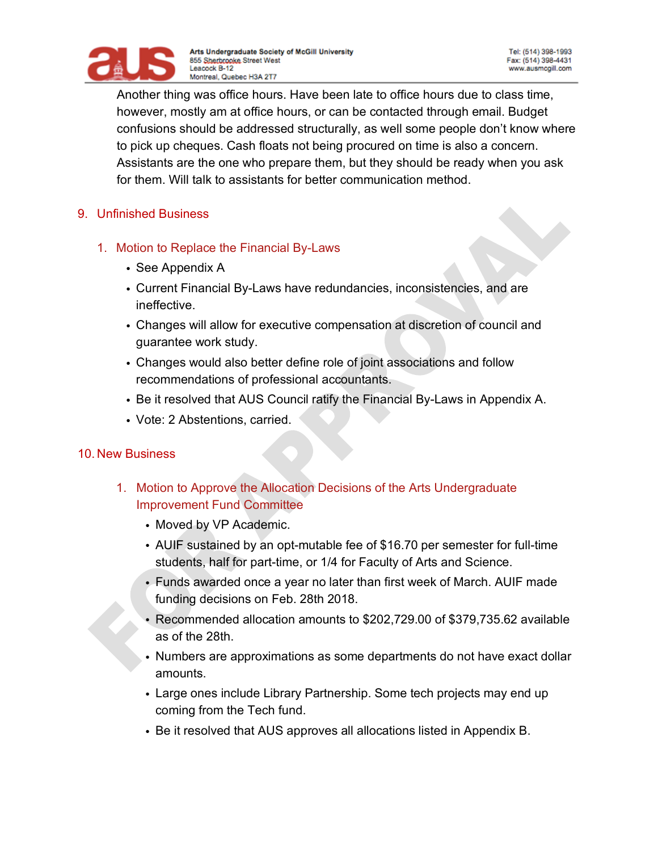

Another thing was office hours. Have been late to office hours due to class time, however, mostly am at office hours, or can be contacted through email. Budget confusions should be addressed structurally, as well some people don't know where to pick up cheques. Cash floats not being procured on time is also a concern. Assistants are the one who prepare them, but they should be ready when you ask for them. Will talk to assistants for better communication method.

#### 9. Unfinished Business

- 1. Motion to Replace the Financial By-Laws
	- See Appendix A
	- Current Financial By-Laws have redundancies, inconsistencies, and are ineffective.
	- Changes will allow for executive compensation at discretion of council and guarantee work study.
	- Changes would also better define role of joint associations and follow recommendations of professional accountants.
	- Be it resolved that AUS Council ratify the Financial By-Laws in Appendix A.
	- Vote: 2 Abstentions, carried.

#### 10. New Business

- 1. Motion to Approve the Allocation Decisions of the Arts Undergraduate Improvement Fund Committee
	- Moved by VP Academic.
	- AUIF sustained by an opt-mutable fee of \$16.70 per semester for full-time students, half for part-time, or 1/4 for Faculty of Arts and Science.
	- Funds awarded once a year no later than first week of March. AUIF made funding decisions on Feb. 28th 2018.
	- Recommended allocation amounts to \$202,729.00 of \$379,735.62 available as of the 28th.
	- Numbers are approximations as some departments do not have exact dollar amounts.
	- Large ones include Library Partnership. Some tech projects may end up coming from the Tech fund.
	- Be it resolved that AUS approves all allocations listed in Appendix B.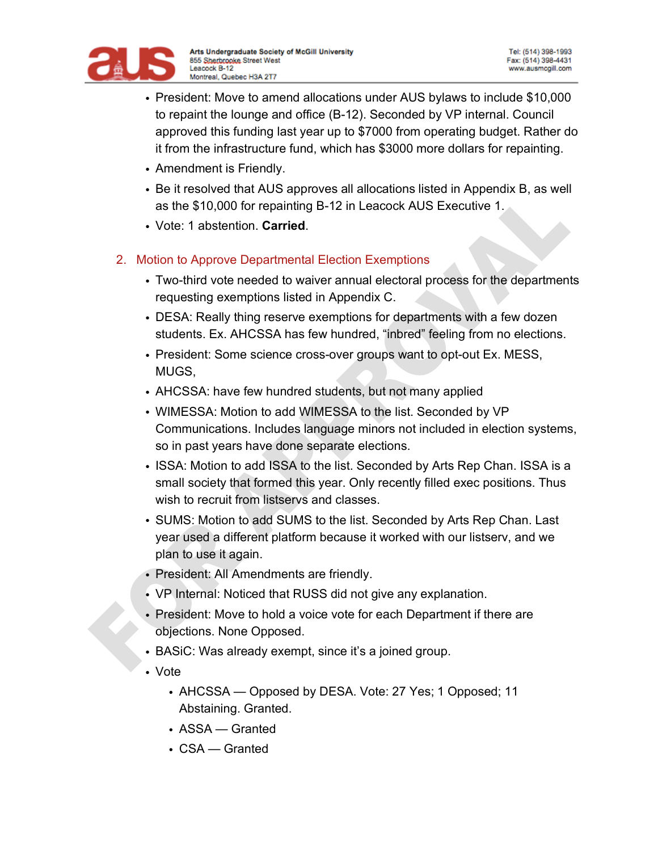

- President: Move to amend allocations under AUS bylaws to include \$10,000 to repaint the lounge and office (B-12). Seconded by VP internal. Council approved this funding last year up to \$7000 from operating budget. Rather do it from the infrastructure fund, which has \$3000 more dollars for repainting.
- Amendment is Friendly.
- Be it resolved that AUS approves all allocations listed in Appendix B, as well as the \$10,000 for repainting B-12 in Leacock AUS Executive 1.
- Vote: 1 abstention. **Carried**.
- 2. Motion to Approve Departmental Election Exemptions
	- Two-third vote needed to waiver annual electoral process for the departments requesting exemptions listed in Appendix C.
	- DESA: Really thing reserve exemptions for departments with a few dozen students. Ex. AHCSSA has few hundred, "inbred" feeling from no elections.
	- President: Some science cross-over groups want to opt-out Ex. MESS, MUGS,
	- AHCSSA: have few hundred students, but not many applied
	- WIMESSA: Motion to add WIMESSA to the list. Seconded by VP Communications. Includes language minors not included in election systems, so in past years have done separate elections.
	- ISSA: Motion to add ISSA to the list. Seconded by Arts Rep Chan. ISSA is a small society that formed this year. Only recently filled exec positions. Thus wish to recruit from listservs and classes.
	- SUMS: Motion to add SUMS to the list. Seconded by Arts Rep Chan. Last year used a different platform because it worked with our listserv, and we plan to use it again.
	- President: All Amendments are friendly.
	- VP Internal: Noticed that RUSS did not give any explanation.
	- President: Move to hold a voice vote for each Department if there are objections. None Opposed.
	- BASiC: Was already exempt, since it's a joined group.
	- Vote
		- AHCSSA Opposed by DESA. Vote: 27 Yes; 1 Opposed; 11 Abstaining. Granted.
		- ASSA Granted
		- CSA Granted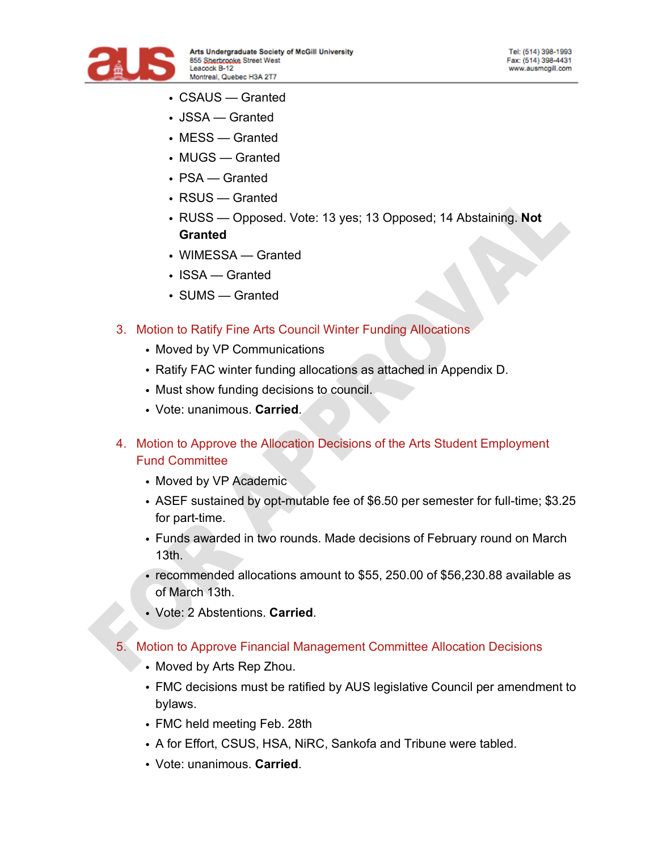

- CSAUS Granted
- JSSA Granted
- MESS Granted
- MUGS Granted
- PSA Granted
- RSUS Granted
- RUSS Opposed. Vote: 13 yes; 13 Opposed; 14 Abstaining. **Not Granted**
- WIMESSA Granted
- ISSA Granted
- SUMS Granted

#### 3. Motion to Ratify Fine Arts Council Winter Funding Allocations

- Moved by VP Communications
- Ratify FAC winter funding allocations as attached in Appendix D.
- Must show funding decisions to council.
- Vote: unanimous. **Carried**.
- 4. Motion to Approve the Allocation Decisions of the Arts Student Employment Fund Committee
	- Moved by VP Academic
	- ASEF sustained by opt-mutable fee of \$6.50 per semester for full-time; \$3.25 for part-time.
	- Funds awarded in two rounds. Made decisions of February round on March 13th.
	- recommended allocations amount to \$55, 250.00 of \$56,230.88 available as of March 13th.
	- Vote: 2 Abstentions. **Carried**.

#### 5. Motion to Approve Financial Management Committee Allocation Decisions

- Moved by Arts Rep Zhou.
- FMC decisions must be ratified by AUS legislative Council per amendment to bylaws.
- FMC held meeting Feb. 28th
- A for Effort, CSUS, HSA, NiRC, Sankofa and Tribune were tabled.
- Vote: unanimous. **Carried**.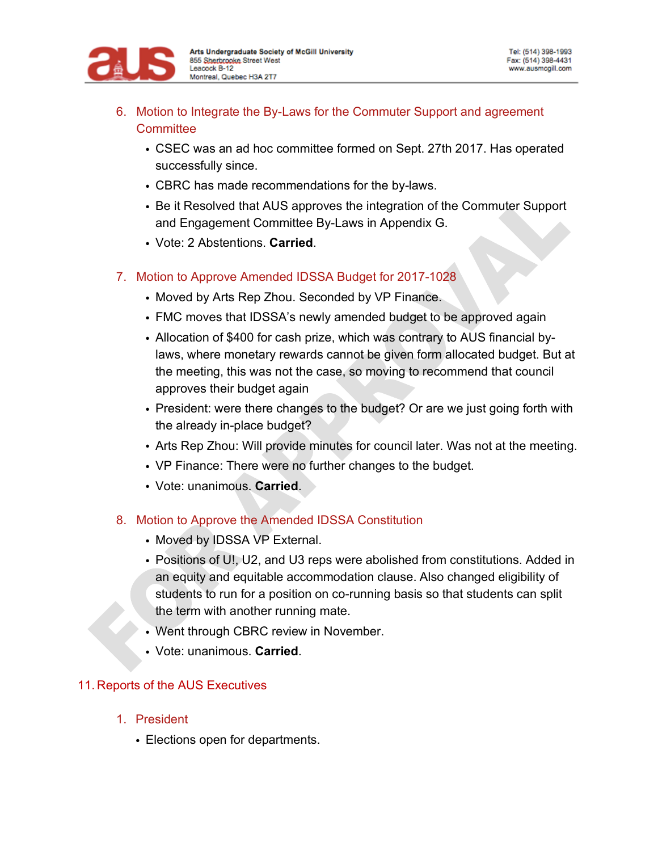

- 6. Motion to Integrate the By-Laws for the Commuter Support and agreement **Committee** 
	- CSEC was an ad hoc committee formed on Sept. 27th 2017. Has operated successfully since.
	- CBRC has made recommendations for the by-laws.
	- Be it Resolved that AUS approves the integration of the Commuter Support and Engagement Committee By-Laws in Appendix G.
	- Vote: 2 Abstentions. **Carried**.
- 7. Motion to Approve Amended IDSSA Budget for 2017-1028
	- Moved by Arts Rep Zhou. Seconded by VP Finance.
	- FMC moves that IDSSA's newly amended budget to be approved again
	- Allocation of \$400 for cash prize, which was contrary to AUS financial bylaws, where monetary rewards cannot be given form allocated budget. But at the meeting, this was not the case, so moving to recommend that council approves their budget again
	- President: were there changes to the budget? Or are we just going forth with the already in-place budget?
	- Arts Rep Zhou: Will provide minutes for council later. Was not at the meeting.
	- VP Finance: There were no further changes to the budget.
	- Vote: unanimous. **Carried**.

#### 8. Motion to Approve the Amended IDSSA Constitution

- Moved by IDSSA VP External.
- Positions of U!, U2, and U3 reps were abolished from constitutions. Added in an equity and equitable accommodation clause. Also changed eligibility of students to run for a position on co-running basis so that students can split the term with another running mate.
- Went through CBRC review in November.
- Vote: unanimous. **Carried**.

#### 11. Reports of the AUS Executives

- 1. President
	- Elections open for departments.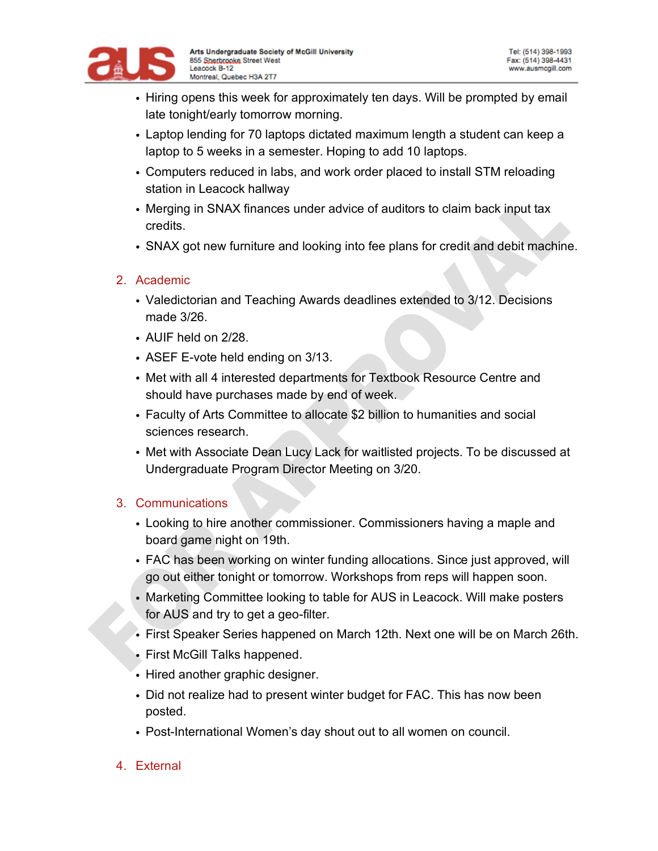

- Hiring opens this week for approximately ten days. Will be prompted by email late tonight/early tomorrow morning.
- Laptop lending for 70 laptops dictated maximum length a student can keep a laptop to 5 weeks in a semester. Hoping to add 10 laptops.
- Computers reduced in labs, and work order placed to install STM reloading station in Leacock hallway
- Merging in SNAX finances under advice of auditors to claim back input tax credits.
- SNAX got new furniture and looking into fee plans for credit and debit machine.

### 2. Academic

- Valedictorian and Teaching Awards deadlines extended to 3/12. Decisions made 3/26.
- AUIF held on 2/28.
- ASEF E-vote held ending on 3/13.
- Met with all 4 interested departments for Textbook Resource Centre and should have purchases made by end of week.
- Faculty of Arts Committee to allocate \$2 billion to humanities and social sciences research.
- Met with Associate Dean Lucy Lack for waitlisted projects. To be discussed at Undergraduate Program Director Meeting on 3/20.

# 3. Communications

- Looking to hire another commissioner. Commissioners having a maple and board game night on 19th.
- FAC has been working on winter funding allocations. Since just approved, will go out either tonight or tomorrow. Workshops from reps will happen soon.
- Marketing Committee looking to table for AUS in Leacock. Will make posters for AUS and try to get a geo-filter.
- First Speaker Series happened on March 12th. Next one will be on March 26th.
- First McGill Talks happened.
- Hired another graphic designer.
- Did not realize had to present winter budget for FAC. This has now been posted.
- Post-International Women's day shout out to all women on council.
- 4. External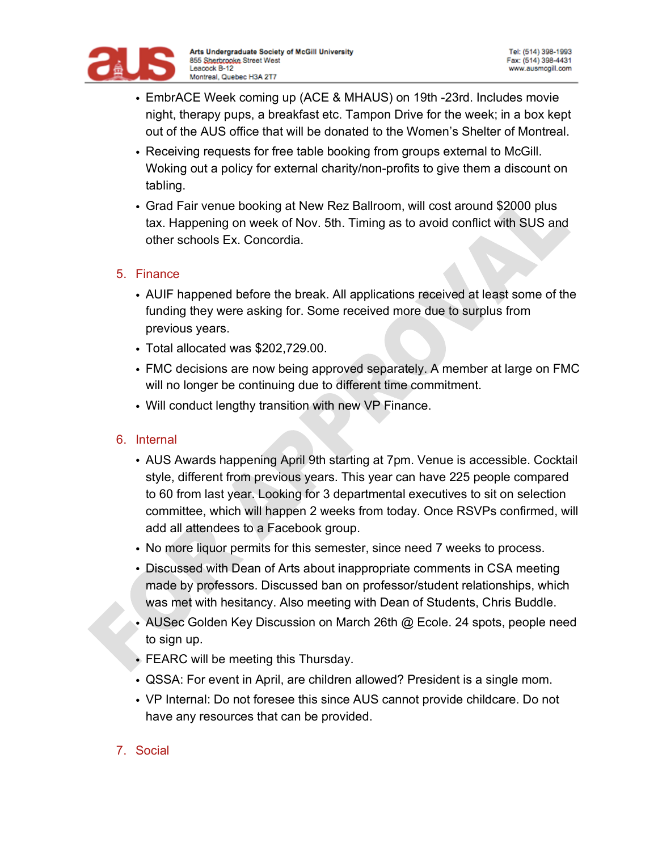

- EmbrACE Week coming up (ACE & MHAUS) on 19th -23rd. Includes movie night, therapy pups, a breakfast etc. Tampon Drive for the week; in a box kept out of the AUS office that will be donated to the Women's Shelter of Montreal.
- Receiving requests for free table booking from groups external to McGill. Woking out a policy for external charity/non-profits to give them a discount on tabling.
- Grad Fair venue booking at New Rez Ballroom, will cost around \$2000 plus tax. Happening on week of Nov. 5th. Timing as to avoid conflict with SUS and other schools Ex. Concordia.

#### 5. Finance

- AUIF happened before the break. All applications received at least some of the funding they were asking for. Some received more due to surplus from previous years.
- Total allocated was \$202,729.00.
- FMC decisions are now being approved separately. A member at large on FMC will no longer be continuing due to different time commitment.
- Will conduct lengthy transition with new VP Finance.

#### 6. Internal

- AUS Awards happening April 9th starting at 7pm. Venue is accessible. Cocktail style, different from previous years. This year can have 225 people compared to 60 from last year. Looking for 3 departmental executives to sit on selection committee, which will happen 2 weeks from today. Once RSVPs confirmed, will add all attendees to a Facebook group.
- No more liquor permits for this semester, since need 7 weeks to process.
- Discussed with Dean of Arts about inappropriate comments in CSA meeting made by professors. Discussed ban on professor/student relationships, which was met with hesitancy. Also meeting with Dean of Students, Chris Buddle.
- AUSec Golden Key Discussion on March 26th @ Ecole. 24 spots, people need to sign up.
- FEARC will be meeting this Thursday.
- QSSA: For event in April, are children allowed? President is a single mom.
- VP Internal: Do not foresee this since AUS cannot provide childcare. Do not have any resources that can be provided.

#### 7. Social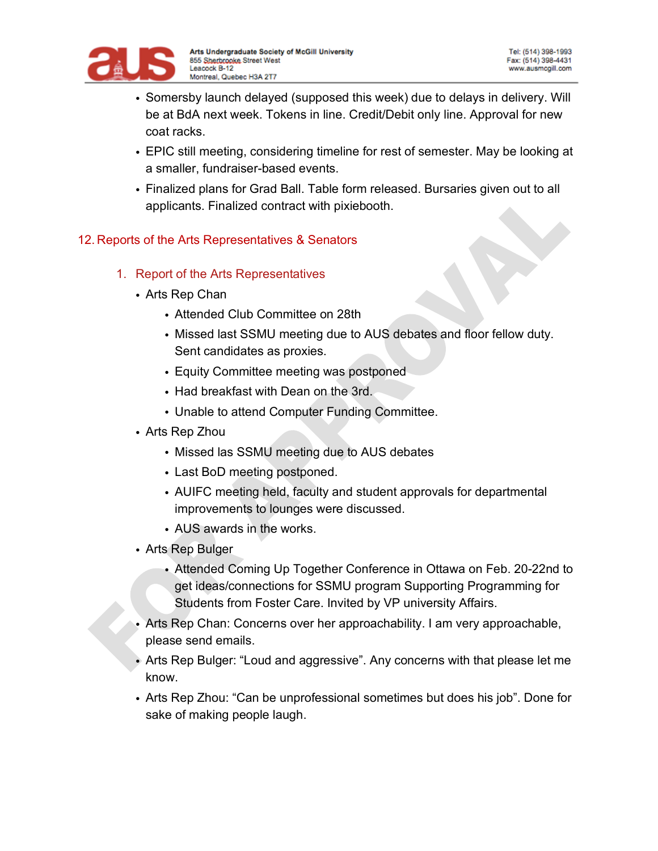

- Somersby launch delayed (supposed this week) due to delays in delivery. Will be at BdA next week. Tokens in line. Credit/Debit only line. Approval for new coat racks.
- EPIC still meeting, considering timeline for rest of semester. May be looking at a smaller, fundraiser-based events.
- Finalized plans for Grad Ball. Table form released. Bursaries given out to all applicants. Finalized contract with pixiebooth.

### 12. Reports of the Arts Representatives & Senators

- 1. Report of the Arts Representatives
	- Arts Rep Chan
		- Attended Club Committee on 28th
		- Missed last SSMU meeting due to AUS debates and floor fellow duty. Sent candidates as proxies.
		- Equity Committee meeting was postponed
		- Had breakfast with Dean on the 3rd.
		- Unable to attend Computer Funding Committee.
	- Arts Rep Zhou
		- Missed las SSMU meeting due to AUS debates
		- Last BoD meeting postponed.
		- AUIFC meeting held, faculty and student approvals for departmental improvements to lounges were discussed.
		- AUS awards in the works.
	- Arts Rep Bulger
		- Attended Coming Up Together Conference in Ottawa on Feb. 20-22nd to get ideas/connections for SSMU program Supporting Programming for Students from Foster Care. Invited by VP university Affairs.
	- Arts Rep Chan: Concerns over her approachability. I am very approachable, please send emails.
	- Arts Rep Bulger: "Loud and aggressive". Any concerns with that please let me know.
	- Arts Rep Zhou: "Can be unprofessional sometimes but does his job". Done for sake of making people laugh.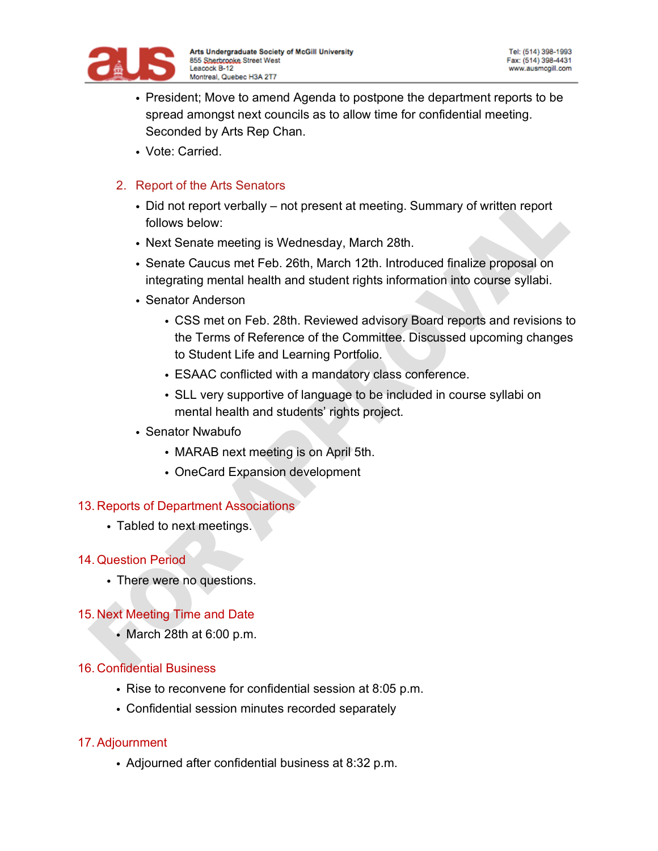

- President; Move to amend Agenda to postpone the department reports to be spread amongst next councils as to allow time for confidential meeting. Seconded by Arts Rep Chan.
- Vote: Carried.

### 2. Report of the Arts Senators

- Did not report verbally not present at meeting. Summary of written report follows below:
- Next Senate meeting is Wednesday, March 28th.
- Senate Caucus met Feb. 26th, March 12th. Introduced finalize proposal on integrating mental health and student rights information into course syllabi.
- Senator Anderson
	- CSS met on Feb. 28th. Reviewed advisory Board reports and revisions to the Terms of Reference of the Committee. Discussed upcoming changes to Student Life and Learning Portfolio.
	- ESAAC conflicted with a mandatory class conference.
	- SLL very supportive of language to be included in course syllabi on mental health and students' rights project.
- Senator Nwabufo
	- MARAB next meeting is on April 5th.
	- OneCard Expansion development

### 13. Reports of Department Associations

• Tabled to next meetings.

#### 14. Question Period

• There were no questions.

### 15. Next Meeting Time and Date

• March 28th at 6:00 p.m.

#### 16. Confidential Business

- Rise to reconvene for confidential session at 8:05 p.m.
- Confidential session minutes recorded separately

### 17.Adjournment

• Adjourned after confidential business at 8:32 p.m.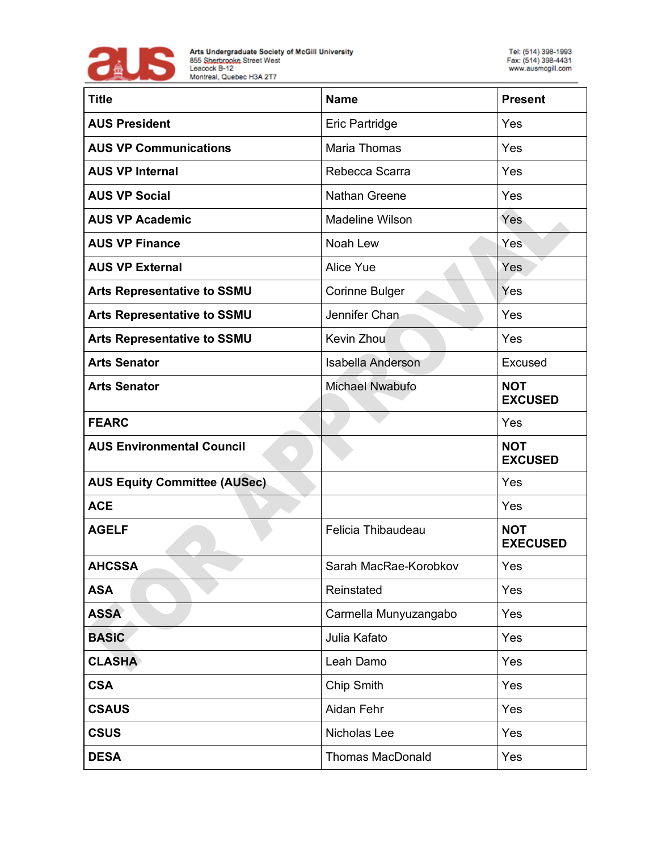

| <b>Title</b>                        | <b>Name</b>              | <b>Present</b>                |
|-------------------------------------|--------------------------|-------------------------------|
| <b>AUS President</b>                | Eric Partridge           | Yes                           |
| <b>AUS VP Communications</b>        | Maria Thomas             | Yes                           |
| <b>AUS VP Internal</b>              | Rebecca Scarra           | Yes                           |
| <b>AUS VP Social</b>                | <b>Nathan Greene</b>     | Yes                           |
| <b>AUS VP Academic</b>              | <b>Madeline Wilson</b>   | Yes                           |
| <b>AUS VP Finance</b>               | Noah Lew                 | Yes                           |
| <b>AUS VP External</b>              | Alice Yue                | Yes                           |
| <b>Arts Representative to SSMU</b>  | <b>Corinne Bulger</b>    | Yes                           |
| <b>Arts Representative to SSMU</b>  | Jennifer Chan            | Yes                           |
| <b>Arts Representative to SSMU</b>  | <b>Kevin Zhou</b>        | Yes                           |
| <b>Arts Senator</b>                 | <b>Isabella Anderson</b> | Excused                       |
| <b>Arts Senator</b>                 | <b>Michael Nwabufo</b>   | <b>NOT</b><br><b>EXCUSED</b>  |
| <b>FEARC</b>                        |                          | Yes                           |
| <b>AUS Environmental Council</b>    |                          | <b>NOT</b><br><b>EXCUSED</b>  |
| <b>AUS Equity Committee (AUSec)</b> |                          | Yes                           |
| <b>ACE</b>                          |                          | Yes                           |
| <b>AGELF</b>                        | Felicia Thibaudeau       | <b>NOT</b><br><b>EXECUSED</b> |
| <b>AHCSSA</b>                       | Sarah MacRae-Korobkov    | Yes                           |
| <b>ASA</b>                          | Reinstated               | Yes                           |
| <b>ASSA</b>                         | Carmella Munyuzangabo    | Yes                           |
| <b>BASiC</b>                        | Julia Kafato             | Yes                           |
| <b>CLASHA</b>                       | Leah Damo                | Yes                           |
| <b>CSA</b>                          | Chip Smith               | Yes                           |
| <b>CSAUS</b>                        | Aidan Fehr               | Yes                           |
| <b>CSUS</b>                         | Nicholas Lee             | Yes                           |
| <b>DESA</b>                         | <b>Thomas MacDonald</b>  | Yes                           |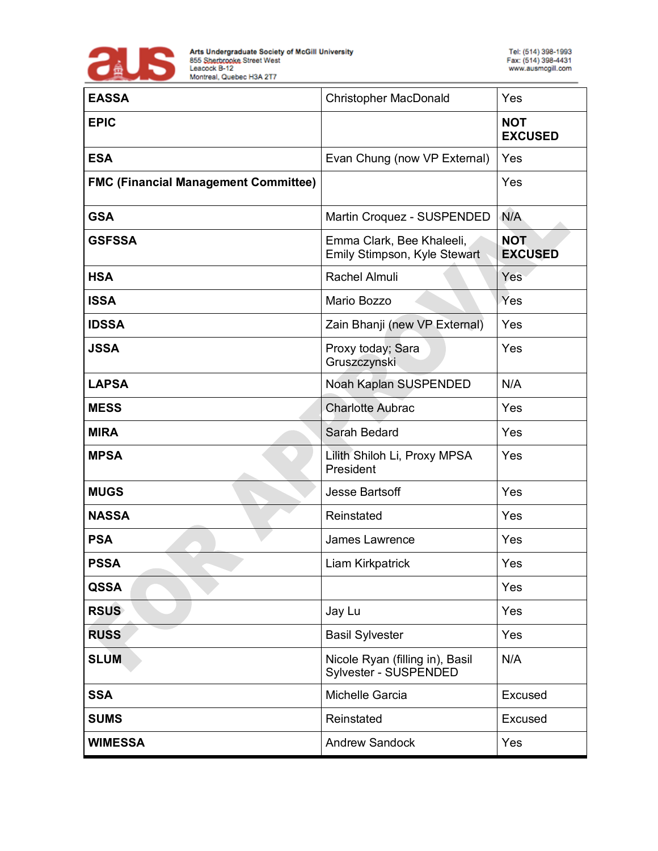

| <b>EASSA</b>                                | <b>Christopher MacDonald</b>                              | Yes                          |
|---------------------------------------------|-----------------------------------------------------------|------------------------------|
| <b>EPIC</b>                                 |                                                           | <b>NOT</b><br><b>EXCUSED</b> |
| <b>ESA</b>                                  | Evan Chung (now VP External)                              | Yes                          |
| <b>FMC (Financial Management Committee)</b> |                                                           | Yes                          |
| <b>GSA</b>                                  | Martin Croquez - SUSPENDED                                | N/A                          |
| <b>GSFSSA</b>                               | Emma Clark, Bee Khaleeli,<br>Emily Stimpson, Kyle Stewart | <b>NOT</b><br><b>EXCUSED</b> |
| <b>HSA</b>                                  | Rachel Almuli                                             | Yes                          |
| <b>ISSA</b>                                 | Mario Bozzo                                               | Yes                          |
| <b>IDSSA</b>                                | Zain Bhanji (new VP External)                             | Yes                          |
| <b>JSSA</b>                                 | Proxy today; Sara<br>Gruszczynski                         | Yes                          |
| <b>LAPSA</b>                                | Noah Kaplan SUSPENDED                                     | N/A                          |
| <b>MESS</b>                                 | <b>Charlotte Aubrac</b>                                   | Yes                          |
| <b>MIRA</b>                                 | Sarah Bedard                                              | Yes                          |
| <b>MPSA</b>                                 | Lilith Shiloh Li, Proxy MPSA<br>President                 | Yes                          |
| <b>MUGS</b>                                 | <b>Jesse Bartsoff</b>                                     | Yes                          |
| <b>NASSA</b>                                | Reinstated                                                | Yes                          |
| <b>PSA</b>                                  | <b>James Lawrence</b>                                     | Yes                          |
| <b>PSSA</b>                                 | Liam Kirkpatrick                                          | Yes                          |
| <b>QSSA</b>                                 |                                                           | Yes                          |
| <b>RSUS</b>                                 | Jay Lu                                                    | Yes                          |
| <b>RUSS</b>                                 | <b>Basil Sylvester</b>                                    | Yes                          |
| <b>SLUM</b>                                 | Nicole Ryan (filling in), Basil<br>Sylvester - SUSPENDED  | N/A                          |
| <b>SSA</b>                                  | Michelle Garcia                                           | Excused                      |
| <b>SUMS</b>                                 | Reinstated                                                | Excused                      |
| <b>WIMESSA</b>                              | <b>Andrew Sandock</b>                                     | Yes                          |